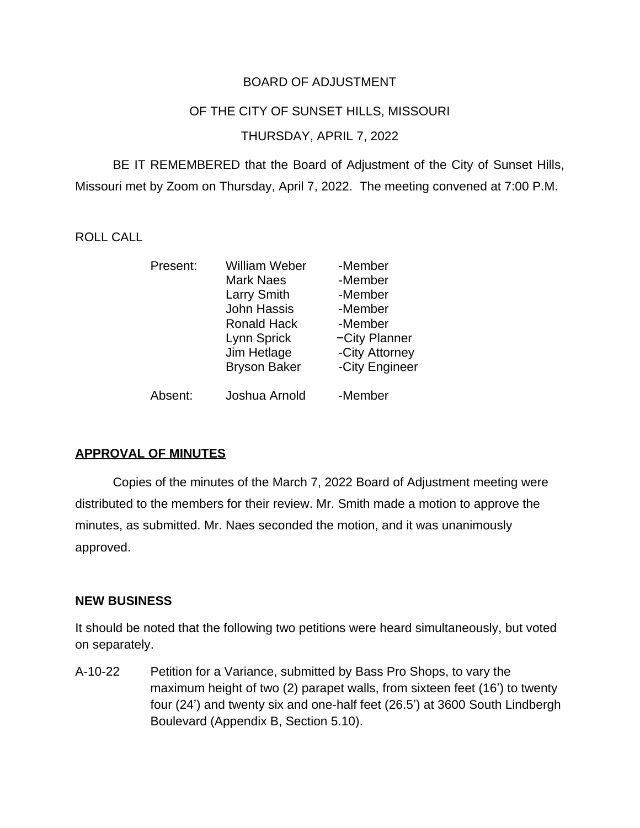# BOARD OF ADJUSTMENT

#### OF THE CITY OF SUNSET HILLS, MISSOURI

### THURSDAY, APRIL 7, 2022

BE IT REMEMBERED that the Board of Adjustment of the City of Sunset Hills, Missouri met by Zoom on Thursday, April 7, 2022. The meeting convened at 7:00 P.M.

## ROLL CALL

| Present: | William Weber       | -Member        |
|----------|---------------------|----------------|
|          | <b>Mark Naes</b>    | -Member        |
|          | <b>Larry Smith</b>  | -Member        |
|          | <b>John Hassis</b>  | -Member        |
|          | <b>Ronald Hack</b>  | -Member        |
|          | Lynn Sprick         | -City Planner  |
|          | Jim Hetlage         | -City Attorney |
|          | <b>Bryson Baker</b> | -City Engineer |
| Absent:  | Joshua Arnold       | -Member        |

#### **APPROVAL OF MINUTES**

Copies of the minutes of the March 7, 2022 Board of Adjustment meeting were distributed to the members for their review. Mr. Smith made a motion to approve the minutes, as submitted. Mr. Naes seconded the motion, and it was unanimously approved.

#### **NEW BUSINESS**

It should be noted that the following two petitions were heard simultaneously, but voted on separately.

A-10-22 Petition for a Variance, submitted by Bass Pro Shops, to vary the maximum height of two (2) parapet walls, from sixteen feet (16') to twenty four (24') and twenty six and one-half feet (26.5') at 3600 South Lindbergh Boulevard (Appendix B, Section 5.10).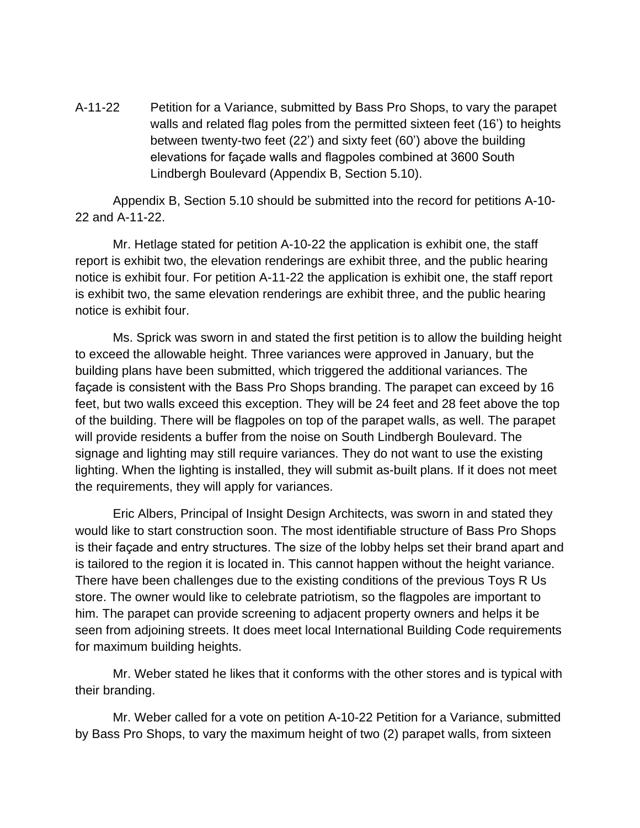A-11-22 Petition for a Variance, submitted by Bass Pro Shops, to vary the parapet walls and related flag poles from the permitted sixteen feet (16') to heights between twenty-two feet (22') and sixty feet (60') above the building elevations for façade walls and flagpoles combined at 3600 South Lindbergh Boulevard (Appendix B, Section 5.10).

Appendix B, Section 5.10 should be submitted into the record for petitions A-10- 22 and A-11-22.

Mr. Hetlage stated for petition A-10-22 the application is exhibit one, the staff report is exhibit two, the elevation renderings are exhibit three, and the public hearing notice is exhibit four. For petition A-11-22 the application is exhibit one, the staff report is exhibit two, the same elevation renderings are exhibit three, and the public hearing notice is exhibit four.

Ms. Sprick was sworn in and stated the first petition is to allow the building height to exceed the allowable height. Three variances were approved in January, but the building plans have been submitted, which triggered the additional variances. The façade is consistent with the Bass Pro Shops branding. The parapet can exceed by 16 feet, but two walls exceed this exception. They will be 24 feet and 28 feet above the top of the building. There will be flagpoles on top of the parapet walls, as well. The parapet will provide residents a buffer from the noise on South Lindbergh Boulevard. The signage and lighting may still require variances. They do not want to use the existing lighting. When the lighting is installed, they will submit as-built plans. If it does not meet the requirements, they will apply for variances.

Eric Albers, Principal of Insight Design Architects, was sworn in and stated they would like to start construction soon. The most identifiable structure of Bass Pro Shops is their façade and entry structures. The size of the lobby helps set their brand apart and is tailored to the region it is located in. This cannot happen without the height variance. There have been challenges due to the existing conditions of the previous Toys R Us store. The owner would like to celebrate patriotism, so the flagpoles are important to him. The parapet can provide screening to adjacent property owners and helps it be seen from adjoining streets. It does meet local International Building Code requirements for maximum building heights.

Mr. Weber stated he likes that it conforms with the other stores and is typical with their branding.

Mr. Weber called for a vote on petition A-10-22 Petition for a Variance, submitted by Bass Pro Shops, to vary the maximum height of two (2) parapet walls, from sixteen